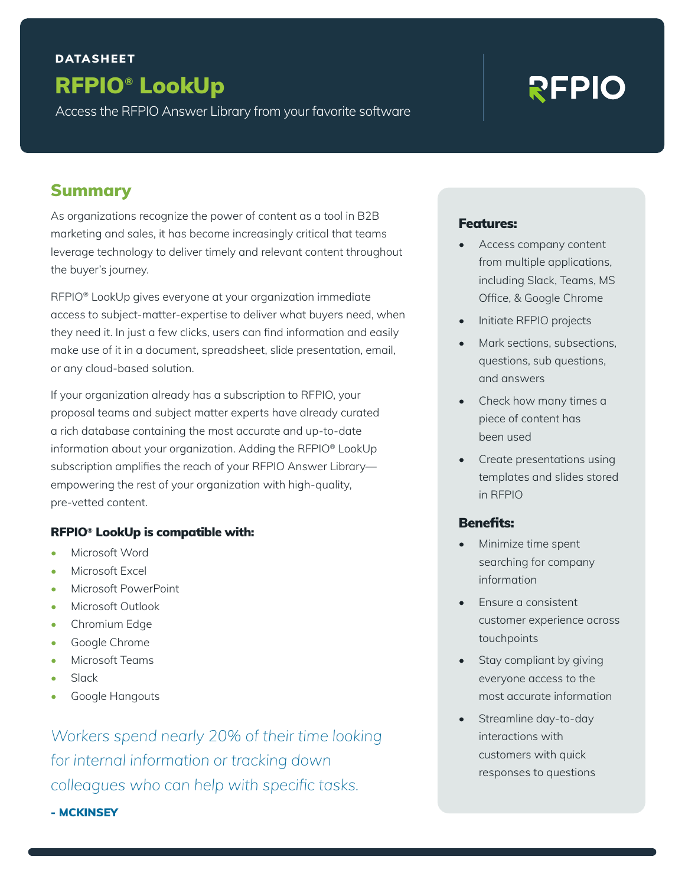# RFPIO**®** LookUp DATASHEET

Access the RFPIO Answer Library from your favorite software

# REPIO

# Summary

As organizations recognize the power of content as a tool in B2B marketing and sales, it has become increasingly critical that teams leverage technology to deliver timely and relevant content throughout the buyer's journey.

RFPIO® LookUp gives everyone at your organization immediate access to subject-matter-expertise to deliver what buyers need, when they need it. In just a few clicks, users can find information and easily make use of it in a document, spreadsheet, slide presentation, email, or any cloud-based solution.

If your organization already has a subscription to RFPIO, your proposal teams and subject matter experts have already curated a rich database containing the most accurate and up-to-date information about your organization. Adding the RFPIO® LookUp subscription amplifies the reach of your RFPIO Answer Library empowering the rest of your organization with high-quality, pre-vetted content.

#### RFPIO**®** LookUp is compatible with:

- Microsoft Word
- Microsoft Excel
- Microsoft PowerPoint
- Microsoft Outlook
- Chromium Edge
- Google Chrome
- Microsoft Teams
- Slack
- Google Hangouts

*Workers spend nearly 20% of their time looking for internal information or tracking down colleagues who can help with specific tasks.*

- MCKINSEY

#### Features:

- Access company content from multiple applications, including Slack, Teams, MS Office, & Google Chrome
- Initiate RFPIO projects
- Mark sections, subsections, questions, sub questions, and answers
- Check how many times a piece of content has been used
- Create presentations using templates and slides stored in RFPIO

#### Benefits:

- Minimize time spent searching for company information
- Ensure a consistent customer experience across touchpoints
- Stay compliant by giving everyone access to the most accurate information
- Streamline day-to-day interactions with customers with quick responses to questions